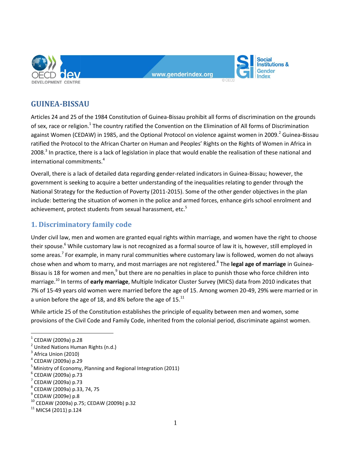

www.aenderindex.org

**Social** nstitutions & Gender

# **GUINEA-BISSAU**

Articles 24 and 25 of the 1984 Constitution of Guinea-Bissau prohibit all forms of discrimination on the grounds of sex, race or religion.<sup>1</sup> The country ratified the Convention on the Elimination of All forms of Discrimination against Women (CEDAW) in 1985, and the Optional Protocol on violence against women in 2009.<sup>2</sup> Guinea-Bissau ratified the Protocol to the African Charter on Human and Peoples' Rights on the Rights of Women in Africa in 2008.<sup>3</sup> In practice, there is a lack of legislation in place that would enable the realisation of these national and international commitments.<sup>4</sup>

Overall, there is a lack of detailed data regarding gender-related indicators in Guinea-Bissau; however, the government is seeking to acquire a better understanding of the inequalities relating to gender through the National Strategy for the Reduction of Poverty (2011-2015). Some of the other gender objectives in the plan include: bettering the situation of women in the police and armed forces, enhance girls school enrolment and achievement, protect students from sexual harassment, etc.<sup>5</sup>

# **1. Discriminatory family code**

Under civil law, men and women are granted equal rights within marriage, and women have the right to choose their spouse.<sup>6</sup> While customary law is not recognized as a formal source of law it is, however, still employed in some areas.<sup>7</sup> For example, in many rural communities where customary law is followed, women do not always chose when and whom to marry, and most marriages are not registered.<sup>8</sup> The **legal age of marriage** in Guinea-Bissau is 18 for women and men,<sup>9</sup> but there are no penalties in place to punish those who force children into marriage.<sup>10</sup> In terms of **early marriage**, Multiple Indicator Cluster Survey (MICS) data from 2010 indicates that 7% of 15-49 years old women were married before the age of 15. Among women 20-49, 29% were married or in a union before the age of 18, and 8% before the age of 15. $^{11}$ 

While article 25 of the Constitution establishes the principle of equality between men and women, some provisions of the Civil Code and Family Code, inherited from the colonial period, discriminate against women.

 $\overline{a}$ 

 $^1$  CEDAW (2009a) p.28

<sup>&</sup>lt;sup>2</sup> United Nations Human Rights (n.d.)

 $3$  Africa Union (2010)

<sup>4</sup> CEDAW (2009a) p.29

 $<sup>5</sup>$  Ministry of Economy, Planning and Regional Integration (2011)</sup>

<sup>&</sup>lt;sup>6</sup> CEDAW (2009a) p.73

 $<sup>7</sup>$  CEDAW (2009a) p.73</sup>

<sup>8</sup> CEDAW (2009a) p.33, 74, 75

 $^{\rm 9}$  CEDAW (2009e) p.8

<sup>10</sup> CEDAW (2009a) p.75; CEDAW (2009b) p.32

 $11$  MICS4 (2011) p.124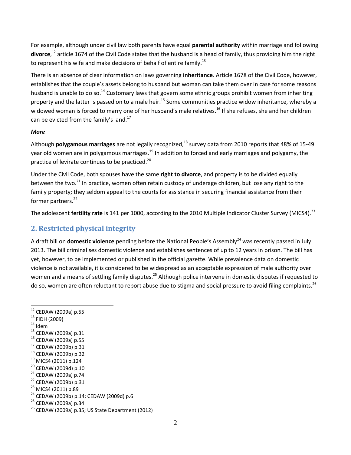For example, although under civil law both parents have equal **parental authority** within marriage and following **divorce**, <sup>12</sup> article 1674 of the Civil Code states that the husband is a head of family, thus providing him the right to represent his wife and make decisions of behalf of entire family.<sup>13</sup>

There is an absence of clear information on laws governing **inheritance**. Article 1678 of the Civil Code, however, establishes that the couple's assets belong to husband but woman can take them over in case for some reasons husband is unable to do so.<sup>14</sup> Customary laws that govern some ethnic groups prohibit women from inheriting property and the latter is passed on to a male heir.<sup>15</sup> Some communities practice widow inheritance, whereby a widowed woman is forced to marry one of her husband's male relatives.<sup>16</sup> If she refuses, she and her children can be evicted from the family's land. $^{17}$ 

#### *More*

Although **polygamous marriages** are not legally recognized,<sup>18</sup> survey data from 2010 reports that 48% of 15-49 year old women are in polygamous marriages.<sup>19</sup> In addition to forced and early marriages and polygamy, the practice of levirate continues to be practiced.<sup>20</sup>

Under the Civil Code, both spouses have the same **right to divorce**, and property is to be divided equally between the two.<sup>21</sup> In practice, women often retain custody of underage children, but lose any right to the family property; they seldom appeal to the courts for assistance in securing financial assistance from their former partners.<sup>22</sup>

The adolescent **fertility rate** is 141 per 1000, according to the 2010 Multiple Indicator Cluster Survey (MICS4).<sup>23</sup>

## **2. Restricted physical integrity**

A draft bill on **domestic violence** pending before the National People's Assembly<sup>24</sup> was recently passed in July 2013. The bill criminalises domestic violence and establishes sentences of up to 12 years in prison. The bill has yet, however, to be implemented or published in the official gazette. While prevalence data on domestic violence is not available, it is considered to be widespread as an acceptable expression of male authority over women and a means of settling family disputes.<sup>25</sup> Although police intervene in domestic disputes if requested to do so, women are often reluctant to report abuse due to stigma and social pressure to avoid filing complaints.<sup>26</sup>

- <sup>13</sup> FIDH (2009)
- $14$  Idem
- <sup>15</sup> CEDAW (2009a) p.31
- <sup>16</sup> CEDAW (2009a) p.55
- <sup>17</sup> CEDAW (2009b) p.31
- <sup>18</sup> CEDAW (2009b) p.32
- <sup>19</sup> MICS4 (2011) p.124
- <sup>20</sup> CEDAW (2009d) p.10
- <sup>21</sup> CEDAW (2009a) p.74
- <sup>22</sup> CEDAW (2009b) p.31
- <sup>23</sup> MICS4 (2011) p.89

<sup>25</sup> CEDAW (2009a) p.34

 $\overline{a}$ <sup>12</sup> CEDAW (2009a) p.55

<sup>24</sup> CEDAW (2009b) p.14; CEDAW (2009d) p.6

 $26$  CEDAW (2009a) p.35; US State Department (2012)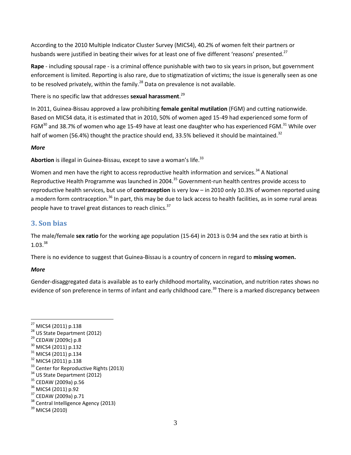According to the 2010 Multiple Indicator Cluster Survey (MICS4), 40.2% of women felt their partners or husbands were justified in beating their wives for at least one of five different 'reasons' presented.<sup>27</sup>

**Rape** - including spousal rape - is a criminal offence punishable with two to six years in prison, but government enforcement is limited. Reporting is also rare, due to stigmatization of victims; the issue is generally seen as one to be resolved privately, within the family.<sup>28</sup> Data on prevalence is not available.

There is no specific law that addresses **sexual harassment**. 29

In 2011, Guinea-Bissau approved a law prohibiting **female genital mutilation** (FGM) and cutting nationwide. Based on MICS4 data, it is estimated that in 2010, 50% of women aged 15-49 had experienced some form of FGM<sup>30</sup> and 38.7% of women who age 15-49 have at least one daughter who has experienced FGM.<sup>31</sup> While over half of women (56.4%) thought the practice should end, 33.5% believed it should be maintained.<sup>32</sup>

### *More*

Abortion is illegal in Guinea-Bissau, except to save a woman's life.<sup>33</sup>

Women and men have the right to access reproductive health information and services.<sup>34</sup> A National Reproductive Health Programme was launched in 2004.<sup>35</sup> Government-run health centres provide access to reproductive health services, but use of **contraception** is very low – in 2010 only 10.3% of women reported using a modern form contraception.<sup>36</sup> In part, this may be due to lack access to health facilities, as in some rural areas people have to travel great distances to reach clinics.<sup>37</sup>

### **3. Son bias**

The male/female **sex ratio** for the working age population (15-64) in 2013 is 0.94 and the sex ratio at birth is  $1.03.<sup>38</sup>$ 

There is no evidence to suggest that Guinea-Bissau is a country of concern in regard to **missing women.**

### *More*

 $\overline{a}$ 

Gender-disaggregated data is available as to early childhood mortality, vaccination, and nutrition rates shows no evidence of son preference in terms of infant and early childhood care.<sup>39</sup> There is a marked discrepancy between

- <sup>28</sup> US State Department (2012)
- <sup>29</sup> CEDAW (2009c) p.8
- <sup>30</sup> MICS4 (2011) p.132
- <sup>31</sup> MICS4 (2011) p.134
- <sup>32</sup> MICS4 (2011) p.138
- <sup>33</sup> Center for Reproductive Rights (2013)
- <sup>34</sup> US State Department (2012)
- <sup>35</sup> CEDAW (2009a) p.56
- <sup>36</sup> MICS4 (2011) p.92
- <sup>37</sup> CEDAW (2009a) p.71
- <sup>38</sup> Central Intelligence Agency (2013)

<sup>&</sup>lt;sup>27</sup> MICS4 (2011) p.138

<sup>&</sup>lt;sup>39</sup> MICS4 (2010)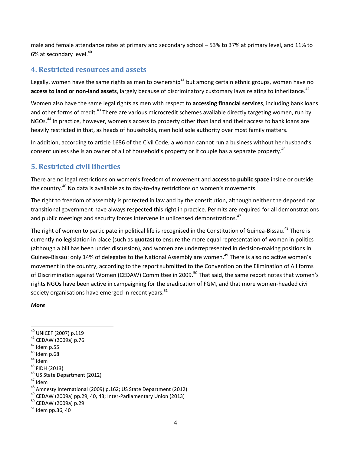male and female attendance rates at primary and secondary school – 53% to 37% at primary level, and 11% to 6% at secondary level.<sup>40</sup>

### **4. Restricted resources and assets**

Legally, women have the same rights as men to ownership<sup>41</sup> but among certain ethnic groups, women have no access to land or non-land assets, largely because of discriminatory customary laws relating to inheritance.<sup>42</sup>

Women also have the same legal rights as men with respect to **accessing financial services**, including bank loans and other forms of credit.<sup>43</sup> There are various microcredit schemes available directly targeting women, run by NGOs.<sup>44</sup> In practice, however, women's access to property other than land and their access to bank loans are heavily restricted in that, as heads of households, men hold sole authority over most family matters.

In addition, according to article 1686 of the Civil Code, a woman cannot run a business without her husband's consent unless she is an owner of all of household's property or if couple has a separate property.<sup>45</sup>

## **5. Restricted civil liberties**

There are no legal restrictions on women's freedom of movement and **access to public space** inside or outside the country.<sup>46</sup> No data is available as to day-to-day restrictions on women's movements.

The right to freedom of assembly is protected in law and by the constitution, although neither the deposed nor transitional government have always respected this right in practice. Permits are required for all demonstrations and public meetings and security forces intervene in unlicensed demonstrations.<sup>47</sup>

The right of women to participate in political life is recognised in the Constitution of Guinea-Bissau.<sup>48</sup> There is currently no legislation in place (such as **quotas**) to ensure the more equal representation of women in politics (although a bill has been under discussion), and women are underrepresented in decision-making positions in Guinea-Bissau: only 14% of delegates to the National Assembly are women.<sup>49</sup> There is also no active women's movement in the country, according to the report submitted to the Convention on the Elimination of All forms of Discrimination against Women (CEDAW) Committee in 2009.<sup>50</sup> That said, the same report notes that women's rights NGOs have been active in campaigning for the eradication of FGM, and that more women-headed civil society organisations have emerged in recent years. $51$ 

#### *More*

 $\overline{a}$ 

- <sup>40</sup> UNICEF (2007) p.119
- <sup>41</sup> CEDAW (2009a) p.76
- $42$  Idem p.55
- $43$  Idem p.68
- $44$  Idem
- <sup>45</sup> FIDH (2013)
- <sup>46</sup> US State Department (2012)
- <sup>47</sup> Idem

- $49$  CEDAW (2009a) pp.29, 40, 43; Inter-Parliamentary Union (2013)
- <sup>50</sup> CEDAW (2009a) p.29

<sup>48</sup> Amnesty International (2009) p.162; US State Department (2012)

 $51$  Idem pp.36, 40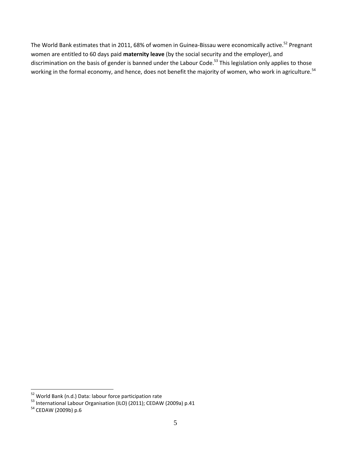The World Bank estimates that in 2011, 68% of women in Guinea-Bissau were economically active.<sup>52</sup> Pregnant women are entitled to 60 days paid **maternity leave** (by the social security and the employer), and discrimination on the basis of gender is banned under the Labour Code.<sup>53</sup> This legislation only applies to those working in the formal economy, and hence, does not benefit the majority of women, who work in agriculture.<sup>54</sup>

 $\overline{a}$ 

<sup>&</sup>lt;sup>52</sup> World Bank (n.d.) Data: labour force participation rate

<sup>&</sup>lt;sup>53</sup> International Labour Organisation (ILO) (2011); CEDAW (2009a) p.41

<sup>&</sup>lt;sup>54</sup> CEDAW (2009b) p.6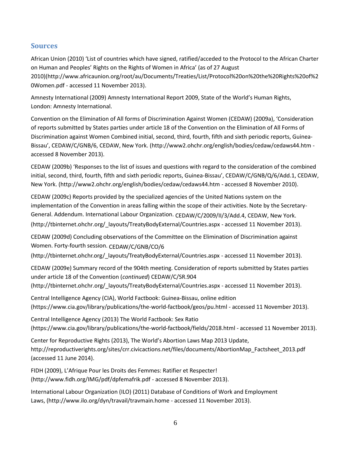## **Sources**

African Union (2010) 'List of countries which have signed, ratified/acceded to the Protocol to the African Charter on Human and Peoples' Rights on the Rights of Women in Africa' (as of 27 August 2010)[\(http://www.africaunion.org/root/au/Documents/Treaties/List/Protocol%20on%20the%20Rights%20of%2](http://www.africa-union.org/root/au/Documents/Treaties/List/Protocol%20on%20the%20Rights%20of%20Women.pdf) [0Women.pdf](http://www.africa-union.org/root/au/Documents/Treaties/List/Protocol%20on%20the%20Rights%20of%20Women.pdf) - accessed 11 November 2013).

Amnesty International (2009) Amnesty International Report 2009, State of the World's Human Rights, London: Amnesty International.

Convention on the Elimination of All forms of Discrimination Against Women (CEDAW) (2009a), 'Consideration of reports submitted by States parties under article 18 of the Convention on the Elimination of All Forms of Discrimination against Women Combined initial, second, third, fourth, fifth and sixth periodic reports, Guinea-Bissau', CEDAW/C/GNB/6, CEDAW, New York. (<http://www2.ohchr.org/english/bodies/cedaw/cedaws44.htm> accessed 8 November 2013).

CEDAW (2009b) 'Responses to the list of issues and questions with regard to the consideration of the combined initial, second, third, fourth, fifth and sixth periodic reports, Guinea-Bissau', CEDAW/C/GNB/Q/6/Add.1, CEDAW, New York. [\(http://www2.ohchr.org/english/bodies/cedaw/cedaws44.htm](http://www2.ohchr.org/english/bodies/cedaw/cedaws44.htm) - accessed 8 November 2010).

CEDAW (2009c) Reports provided by the specialized agencies of the United Nations system on the implementation of the Convention in areas falling within the scope of their activities. Note by the Secretary-General. Addendum. International Labour Organization. CEDAW/C/2009/II/3/Add.4, CEDAW, New York. [\(http://tbinternet.ohchr.org/\\_layouts/TreatyBodyExternal/Countries.aspx](http://tbinternet.ohchr.org/_layouts/TreatyBodyExternal/Countries.aspx) - accessed 11 November 2013).

CEDAW (2009d) Concluding observations of the Committee on the Elimination of Discrimination against Women. Forty-fourth session. CEDAW/C/GNB/CO/6

[\(http://tbinternet.ohchr.org/\\_layouts/TreatyBodyExternal/Countries.aspx](http://tbinternet.ohchr.org/_layouts/TreatyBodyExternal/Countries.aspx) - accessed 11 November 2013).

CEDAW (2009e) Summary record of the 904th meeting. Consideration of reports submitted by States parties under article 18 of the Convention (*continued*) CEDAW/C/SR.904

[\(http://tbinternet.ohchr.org/\\_layouts/TreatyBodyExternal/Countries.aspx](http://tbinternet.ohchr.org/_layouts/TreatyBodyExternal/Countries.aspx) - accessed 11 November 2013).

Central Intelligence Agency (CIA), World Factbook: Guinea-Bissau, online edition [\(https://www.cia.gov/library/publications/the-world-factbook/geos/pu.html](https://www.cia.gov/library/publications/the-world-factbook/geos/pu.html) - accessed 11 November 2013).

Central Intelligence Agency (2013) The World Factbook: Sex Ratio [\(https://www.cia.gov/library/publications/the-world-factbook/fields/2018.html](https://www.cia.gov/library/publications/the-world-factbook/fields/2018.html) - accessed 11 November 2013).

Center for Reproductive Rights (2013), The World's Abortion Laws Map 2013 Update, [http://reproductiverights.org/sites/crr.civicactions.net/files/documents/AbortionMap\\_Factsheet\\_2013.pdf](http://reproductiverights.org/sites/crr.civicactions.net/files/documents/AbortionMap_Factsheet_2013.pdf) (accessed 11 June 2014).

FIDH (2009), L'Afrique Pour les Droits des Femmes: Ratifier et Respecter! [\(http://www.fidh.org/IMG/pdf/dpfemafrik.pdf](http://www.fidh.org/IMG/pdf/dpfemafrik.pdf) - accessed 8 November 2013).

International Labour Organization (ILO) (2011) Database of Conditions of Work and Employment Laws, [\(http://www.ilo.org/dyn/travail/travmain.home](http://www.ilo.org/dyn/travail/travmain.home) - accessed 11 November 2013).